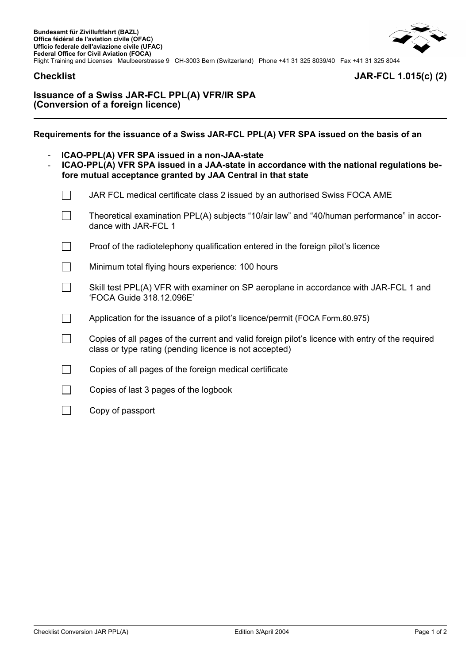# **Checklist JAR-FCL 1.015(c) (2)**

# **Issuance of a Swiss JAR-FCL PPL(A) VFR/IR SPA (Conversion of a foreign licence)**

**Requirements for the issuance of a Swiss JAR-FCL PPL(A) VFR SPA issued on the basis of an** 

- **ICAO-PPL(A) VFR SPA issued in a non-JAA-state**
- **ICAO-PPL(A) VFR SPA issued in a JAA-state in accordance with the national regulations before mutual acceptance granted by JAA Central in that state**
	- $\Box$  JAR FCL medical certificate class 2 issued by an authorised Swiss FOCA AME
	- $\Box$  Theoretical examination PPL(A) subjects "10/air law" and "40/human performance" in accordance with JAR-FCL 1
	- $\Box$  Proof of the radiotelephony qualification entered in the foreign pilot's licence
	- Minimum total flying hours experience: 100 hours
	- $\Box$  Skill test PPL(A) VFR with examiner on SP aeroplane in accordance with JAR-FCL 1 and 'FOCA Guide 318.12.096E'
	- $\Box$  Application for the issuance of a pilot's licence/permit (FOCA Form.60.975)
	- $\Box$  Copies of all pages of the current and valid foreign pilot's licence with entry of the required class or type rating (pending licence is not accepted)
	- $\Box$  Copies of all pages of the foreign medical certificate
	- Copies of last 3 pages of the logbook
	- $\Box$  Copy of passport